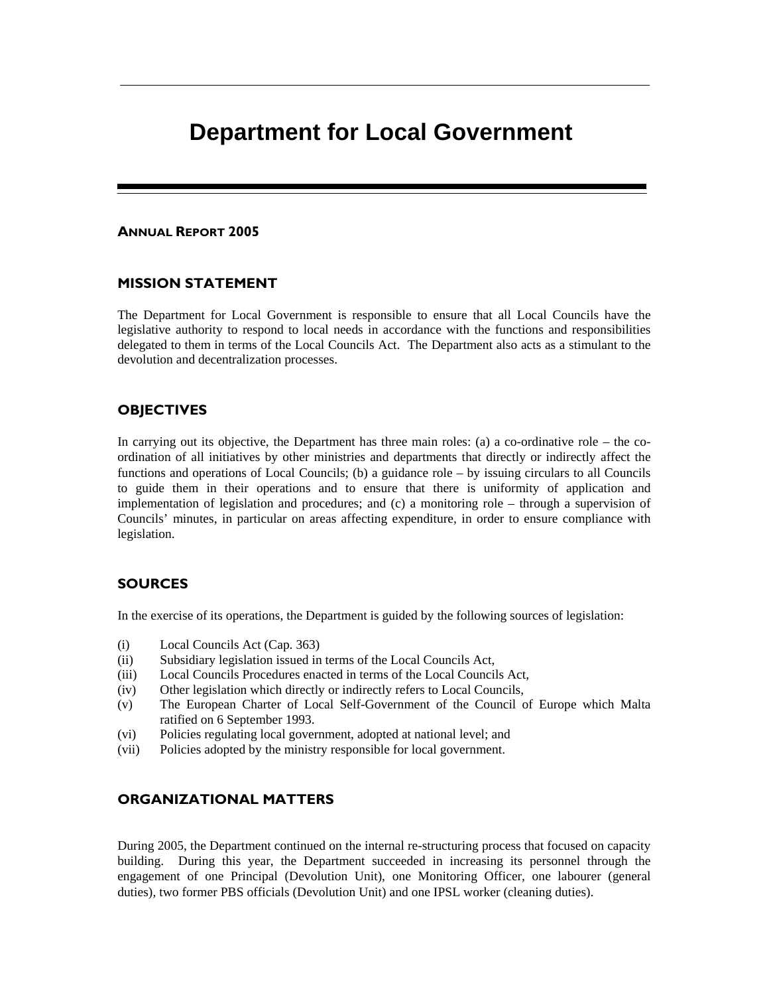# **Department for Local Government**

### ANNUAL REPORT 2005

### MISSION STATEMENT

The Department for Local Government is responsible to ensure that all Local Councils have the legislative authority to respond to local needs in accordance with the functions and responsibilities delegated to them in terms of the Local Councils Act. The Department also acts as a stimulant to the devolution and decentralization processes.

### **OBJECTIVES**

In carrying out its objective, the Department has three main roles: (a) a co-ordinative role – the coordination of all initiatives by other ministries and departments that directly or indirectly affect the functions and operations of Local Councils; (b) a guidance role – by issuing circulars to all Councils to guide them in their operations and to ensure that there is uniformity of application and implementation of legislation and procedures; and (c) a monitoring role – through a supervision of Councils' minutes, in particular on areas affecting expenditure, in order to ensure compliance with legislation.

### SOURCES

In the exercise of its operations, the Department is guided by the following sources of legislation:

- (i) Local Councils Act (Cap. 363)
- (ii) Subsidiary legislation issued in terms of the Local Councils Act,
- (iii) Local Councils Procedures enacted in terms of the Local Councils Act,
- (iv) Other legislation which directly or indirectly refers to Local Councils,
- (v) The European Charter of Local Self-Government of the Council of Europe which Malta ratified on 6 September 1993.
- (vi) Policies regulating local government, adopted at national level; and
- (vii) Policies adopted by the ministry responsible for local government.

### ORGANIZATIONAL MATTERS

During 2005, the Department continued on the internal re-structuring process that focused on capacity building. During this year, the Department succeeded in increasing its personnel through the engagement of one Principal (Devolution Unit), one Monitoring Officer, one labourer (general duties), two former PBS officials (Devolution Unit) and one IPSL worker (cleaning duties).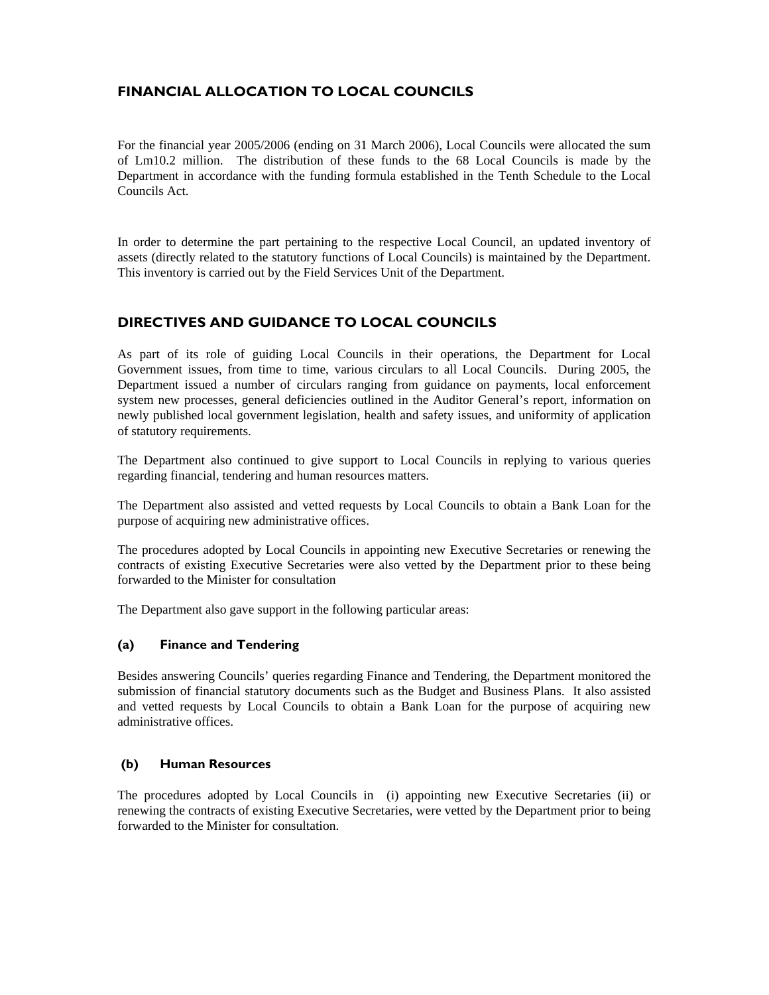## FINANCIAL ALLOCATION TO LOCAL COUNCILS

For the financial year 2005/2006 (ending on 31 March 2006), Local Councils were allocated the sum of Lm10.2 million. The distribution of these funds to the 68 Local Councils is made by the Department in accordance with the funding formula established in the Tenth Schedule to the Local Councils Act.

In order to determine the part pertaining to the respective Local Council, an updated inventory of assets (directly related to the statutory functions of Local Councils) is maintained by the Department. This inventory is carried out by the Field Services Unit of the Department.

### DIRECTIVES AND GUIDANCE TO LOCAL COUNCILS

As part of its role of guiding Local Councils in their operations, the Department for Local Government issues, from time to time, various circulars to all Local Councils. During 2005, the Department issued a number of circulars ranging from guidance on payments, local enforcement system new processes, general deficiencies outlined in the Auditor General's report, information on newly published local government legislation, health and safety issues, and uniformity of application of statutory requirements.

The Department also continued to give support to Local Councils in replying to various queries regarding financial, tendering and human resources matters.

The Department also assisted and vetted requests by Local Councils to obtain a Bank Loan for the purpose of acquiring new administrative offices.

The procedures adopted by Local Councils in appointing new Executive Secretaries or renewing the contracts of existing Executive Secretaries were also vetted by the Department prior to these being forwarded to the Minister for consultation

The Department also gave support in the following particular areas:

### (a) Finance and Tendering

Besides answering Councils' queries regarding Finance and Tendering, the Department monitored the submission of financial statutory documents such as the Budget and Business Plans. It also assisted and vetted requests by Local Councils to obtain a Bank Loan for the purpose of acquiring new administrative offices.

### (b) Human Resources

The procedures adopted by Local Councils in (i) appointing new Executive Secretaries (ii) or renewing the contracts of existing Executive Secretaries, were vetted by the Department prior to being forwarded to the Minister for consultation.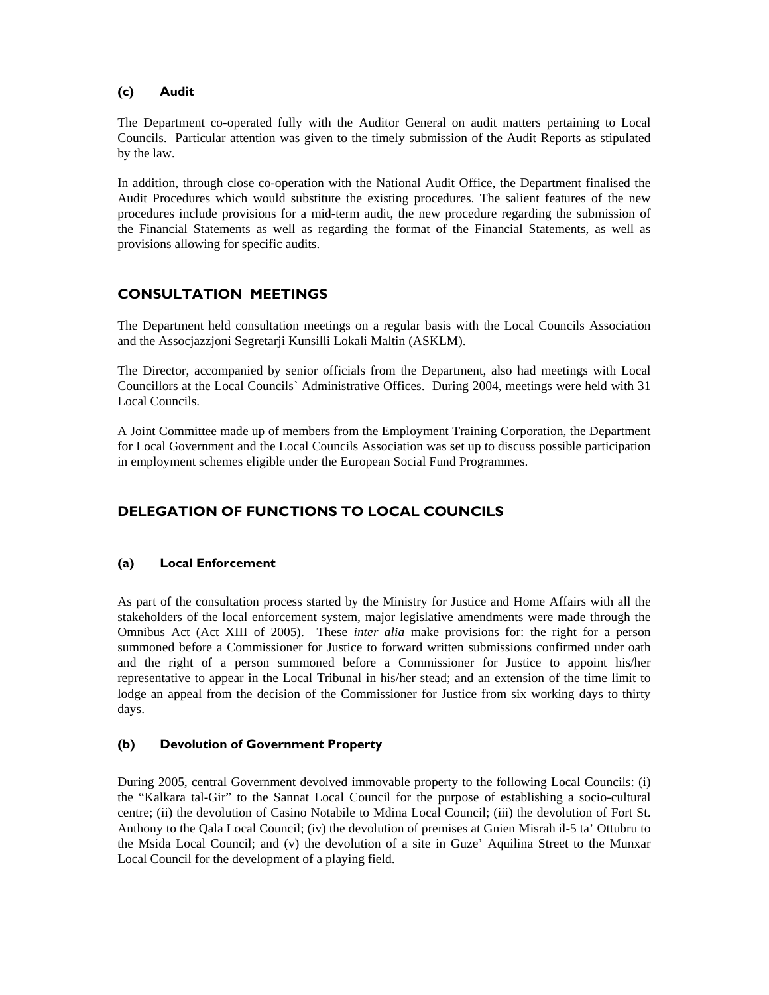### (c) Audit

The Department co-operated fully with the Auditor General on audit matters pertaining to Local Councils. Particular attention was given to the timely submission of the Audit Reports as stipulated by the law.

In addition, through close co-operation with the National Audit Office, the Department finalised the Audit Procedures which would substitute the existing procedures. The salient features of the new procedures include provisions for a mid-term audit, the new procedure regarding the submission of the Financial Statements as well as regarding the format of the Financial Statements, as well as provisions allowing for specific audits.

### CONSULTATION MEETINGS

The Department held consultation meetings on a regular basis with the Local Councils Association and the Assocjazzjoni Segretarji Kunsilli Lokali Maltin (ASKLM).

The Director, accompanied by senior officials from the Department, also had meetings with Local Councillors at the Local Councils` Administrative Offices. During 2004, meetings were held with 31 Local Councils.

A Joint Committee made up of members from the Employment Training Corporation, the Department for Local Government and the Local Councils Association was set up to discuss possible participation in employment schemes eligible under the European Social Fund Programmes.

# DELEGATION OF FUNCTIONS TO LOCAL COUNCILS

### (a) Local Enforcement

As part of the consultation process started by the Ministry for Justice and Home Affairs with all the stakeholders of the local enforcement system, major legislative amendments were made through the Omnibus Act (Act XIII of 2005). These *inter alia* make provisions for: the right for a person summoned before a Commissioner for Justice to forward written submissions confirmed under oath and the right of a person summoned before a Commissioner for Justice to appoint his/her representative to appear in the Local Tribunal in his/her stead; and an extension of the time limit to lodge an appeal from the decision of the Commissioner for Justice from six working days to thirty days.

### (b) Devolution of Government Property

During 2005, central Government devolved immovable property to the following Local Councils: (i) the "Kalkara tal-Gir" to the Sannat Local Council for the purpose of establishing a socio-cultural centre; (ii) the devolution of Casino Notabile to Mdina Local Council; (iii) the devolution of Fort St. Anthony to the Qala Local Council; (iv) the devolution of premises at Gnien Misrah il-5 ta' Ottubru to the Msida Local Council; and (v) the devolution of a site in Guze' Aquilina Street to the Munxar Local Council for the development of a playing field.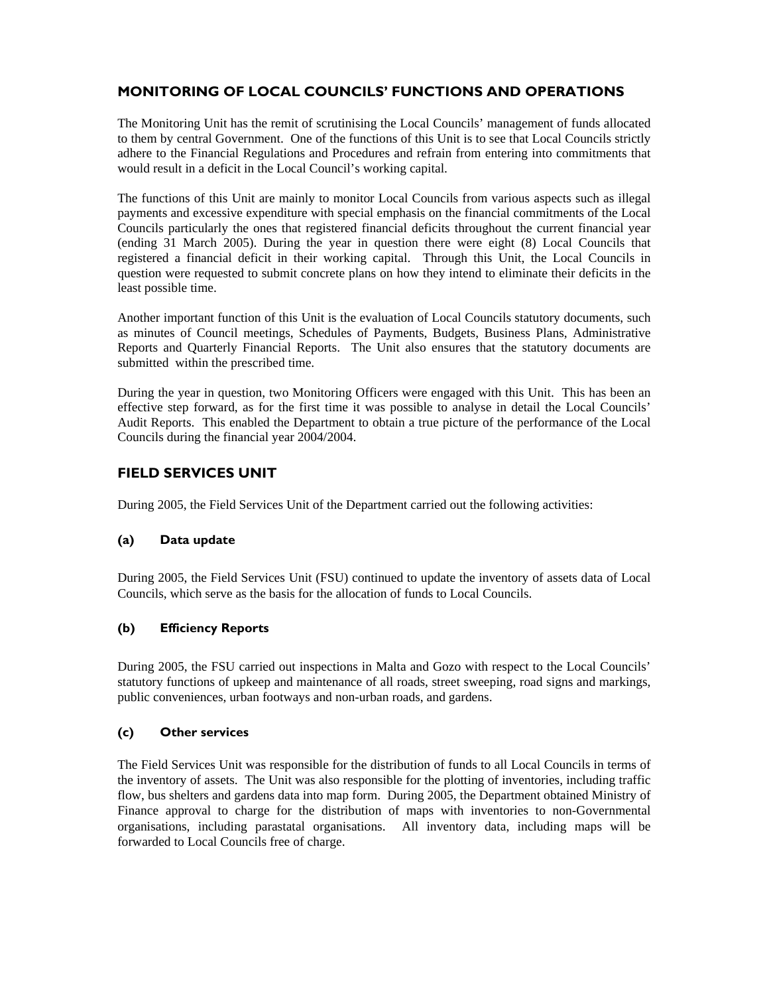# MONITORING OF LOCAL COUNCILS' FUNCTIONS AND OPERATIONS

The Monitoring Unit has the remit of scrutinising the Local Councils' management of funds allocated to them by central Government. One of the functions of this Unit is to see that Local Councils strictly adhere to the Financial Regulations and Procedures and refrain from entering into commitments that would result in a deficit in the Local Council's working capital.

The functions of this Unit are mainly to monitor Local Councils from various aspects such as illegal payments and excessive expenditure with special emphasis on the financial commitments of the Local Councils particularly the ones that registered financial deficits throughout the current financial year (ending 31 March 2005). During the year in question there were eight (8) Local Councils that registered a financial deficit in their working capital. Through this Unit, the Local Councils in question were requested to submit concrete plans on how they intend to eliminate their deficits in the least possible time.

Another important function of this Unit is the evaluation of Local Councils statutory documents, such as minutes of Council meetings, Schedules of Payments, Budgets, Business Plans, Administrative Reports and Quarterly Financial Reports. The Unit also ensures that the statutory documents are submitted within the prescribed time.

During the year in question, two Monitoring Officers were engaged with this Unit. This has been an effective step forward, as for the first time it was possible to analyse in detail the Local Councils' Audit Reports. This enabled the Department to obtain a true picture of the performance of the Local Councils during the financial year 2004/2004.

### FIELD SERVICES UNIT

During 2005, the Field Services Unit of the Department carried out the following activities:

### (a) Data update

During 2005, the Field Services Unit (FSU) continued to update the inventory of assets data of Local Councils, which serve as the basis for the allocation of funds to Local Councils.

### (b) Efficiency Reports

During 2005, the FSU carried out inspections in Malta and Gozo with respect to the Local Councils' statutory functions of upkeep and maintenance of all roads, street sweeping, road signs and markings, public conveniences, urban footways and non-urban roads, and gardens.

### (c) Other services

The Field Services Unit was responsible for the distribution of funds to all Local Councils in terms of the inventory of assets. The Unit was also responsible for the plotting of inventories, including traffic flow, bus shelters and gardens data into map form. During 2005, the Department obtained Ministry of Finance approval to charge for the distribution of maps with inventories to non-Governmental organisations, including parastatal organisations. All inventory data, including maps will be forwarded to Local Councils free of charge.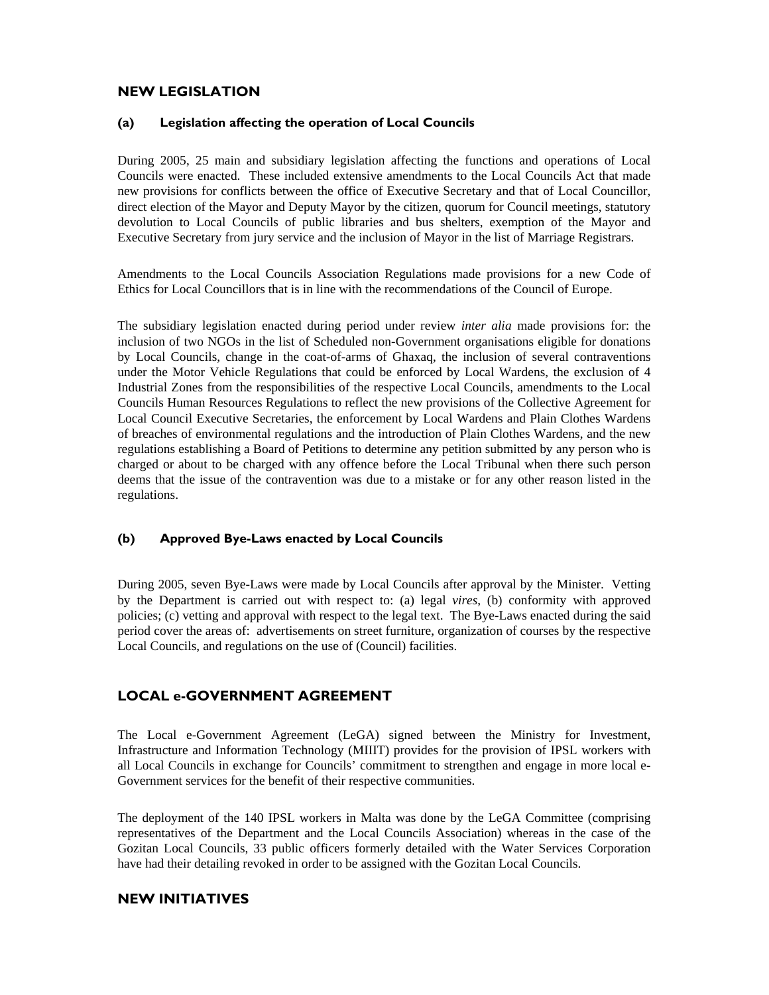### NEW LEGISLATION

### (a) Legislation affecting the operation of Local Councils

During 2005, 25 main and subsidiary legislation affecting the functions and operations of Local Councils were enacted. These included extensive amendments to the Local Councils Act that made new provisions for conflicts between the office of Executive Secretary and that of Local Councillor, direct election of the Mayor and Deputy Mayor by the citizen, quorum for Council meetings, statutory devolution to Local Councils of public libraries and bus shelters, exemption of the Mayor and Executive Secretary from jury service and the inclusion of Mayor in the list of Marriage Registrars.

Amendments to the Local Councils Association Regulations made provisions for a new Code of Ethics for Local Councillors that is in line with the recommendations of the Council of Europe.

The subsidiary legislation enacted during period under review *inter alia* made provisions for: the inclusion of two NGOs in the list of Scheduled non-Government organisations eligible for donations by Local Councils, change in the coat-of-arms of Ghaxaq, the inclusion of several contraventions under the Motor Vehicle Regulations that could be enforced by Local Wardens, the exclusion of 4 Industrial Zones from the responsibilities of the respective Local Councils, amendments to the Local Councils Human Resources Regulations to reflect the new provisions of the Collective Agreement for Local Council Executive Secretaries, the enforcement by Local Wardens and Plain Clothes Wardens of breaches of environmental regulations and the introduction of Plain Clothes Wardens, and the new regulations establishing a Board of Petitions to determine any petition submitted by any person who is charged or about to be charged with any offence before the Local Tribunal when there such person deems that the issue of the contravention was due to a mistake or for any other reason listed in the regulations.

### (b) Approved Bye-Laws enacted by Local Councils

During 2005, seven Bye-Laws were made by Local Councils after approval by the Minister. Vetting by the Department is carried out with respect to: (a) legal *vires*, (b) conformity with approved policies; (c) vetting and approval with respect to the legal text. The Bye-Laws enacted during the said period cover the areas of: advertisements on street furniture, organization of courses by the respective Local Councils, and regulations on the use of (Council) facilities.

### LOCAL e-GOVERNMENT AGREEMENT

The Local e-Government Agreement (LeGA) signed between the Ministry for Investment, Infrastructure and Information Technology (MIIIT) provides for the provision of IPSL workers with all Local Councils in exchange for Councils' commitment to strengthen and engage in more local e-Government services for the benefit of their respective communities.

The deployment of the 140 IPSL workers in Malta was done by the LeGA Committee (comprising representatives of the Department and the Local Councils Association) whereas in the case of the Gozitan Local Councils, 33 public officers formerly detailed with the Water Services Corporation have had their detailing revoked in order to be assigned with the Gozitan Local Councils.

### NEW INITIATIVES